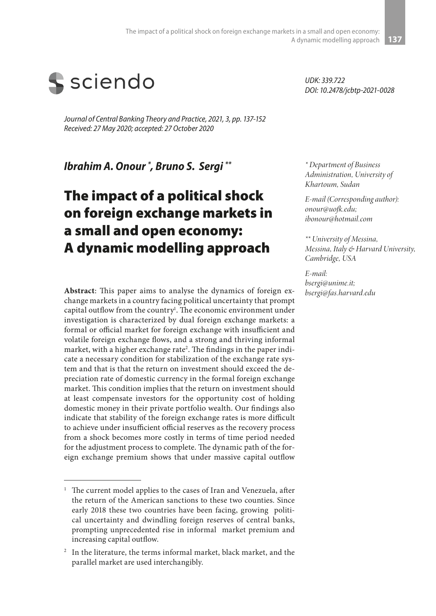

*Journal of Central Banking Theory and Practice, 2021, 3, pp. 137-152 Received: 27 May 2020; accepted: 27 October 2020*

*Ibrahim A. Onour \* , Bruno S. Sergi \*\**

# The impact of a political shock on foreign exchange markets in a small and open economy: A dynamic modelling approach

**Abstract**: This paper aims to analyse the dynamics of foreign exchange markets in a country facing political uncertainty that prompt capital outflow from the country<sup>1</sup>. The economic environment under investigation is characterized by dual foreign exchange markets: a formal or official market for foreign exchange with insufficient and volatile foreign exchange flows, and a strong and thriving informal market, with a higher exchange rate<sup>2</sup>. The findings in the paper indicate a necessary condition for stabilization of the exchange rate system and that is that the return on investment should exceed the depreciation rate of domestic currency in the formal foreign exchange market. This condition implies that the return on investment should at least compensate investors for the opportunity cost of holding domestic money in their private portfolio wealth. Our findings also indicate that stability of the foreign exchange rates is more difficult to achieve under insufficient official reserves as the recovery process from a shock becomes more costly in terms of time period needed for the adjustment process to complete. The dynamic path of the foreign exchange premium shows that under massive capital outflow

*UDK: 339.722 DOI: 10.2478/jcbtp-2021-0028*

*\* Department of Business Administration, University of Khartoum, Sudan*

*E-mail (Corresponding author): onour@uofk.edu; ibonour@hotmail.com*

*\*\* University of Messina, Messina, Italy & Harvard University, Cambridge, USA*

*E-mail: bsergi@unime.it; bsergi@fas.harvard.edu*

<sup>&</sup>lt;sup>1</sup> The current model applies to the cases of Iran and Venezuela, after the return of the American sanctions to these two counties. Since early 2018 these two countries have been facing, growing political uncertainty and dwindling foreign reserves of central banks, prompting unprecedented rise in informal market premium and increasing capital outflow.

<sup>&</sup>lt;sup>2</sup> In the literature, the terms informal market, black market, and the parallel market are used interchangibly.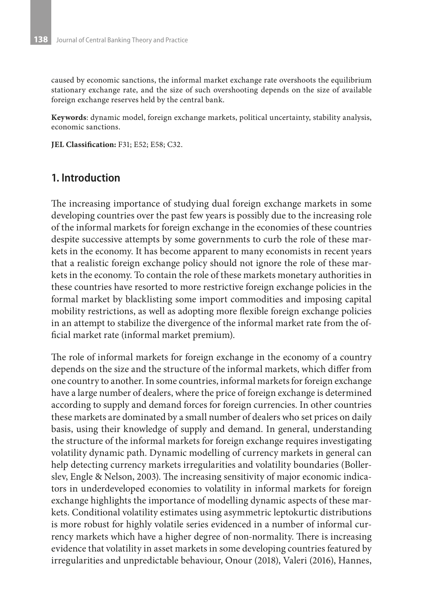caused by economic sanctions, the informal market exchange rate overshoots the equilibrium stationary exchange rate, and the size of such overshooting depends on the size of available foreign exchange reserves held by the central bank.

**Keywords**: dynamic model, foreign exchange markets, political uncertainty, stability analysis, economic sanctions.

**JEL Classification:** F31; E52; E58; C32.

## **1. Introduction**

The increasing importance of studying dual foreign exchange markets in some developing countries over the past few years is possibly due to the increasing role of the informal markets for foreign exchange in the economies of these countries despite successive attempts by some governments to curb the role of these markets in the economy. It has become apparent to many economists in recent years that a realistic foreign exchange policy should not ignore the role of these markets in the economy. To contain the role of these markets monetary authorities in these countries have resorted to more restrictive foreign exchange policies in the formal market by blacklisting some import commodities and imposing capital mobility restrictions, as well as adopting more flexible foreign exchange policies in an attempt to stabilize the divergence of the informal market rate from the official market rate (informal market premium).

The role of informal markets for foreign exchange in the economy of a country depends on the size and the structure of the informal markets, which differ from one country to another. In some countries, informal markets for foreign exchange have a large number of dealers, where the price of foreign exchange is determined according to supply and demand forces for foreign currencies. In other countries these markets are dominated by a small number of dealers who set prices on daily basis, using their knowledge of supply and demand. In general, understanding the structure of the informal markets for foreign exchange requires investigating volatility dynamic path. Dynamic modelling of currency markets in general can help detecting currency markets irregularities and volatility boundaries (Bollerslev, Engle & Nelson, 2003). The increasing sensitivity of major economic indicators in underdeveloped economies to volatility in informal markets for foreign exchange highlights the importance of modelling dynamic aspects of these markets. Conditional volatility estimates using asymmetric leptokurtic distributions is more robust for highly volatile series evidenced in a number of informal currency markets which have a higher degree of non-normality. There is increasing evidence that volatility in asset markets in some developing countries featured by irregularities and unpredictable behaviour, Onour (2018), Valeri (2016), Hannes,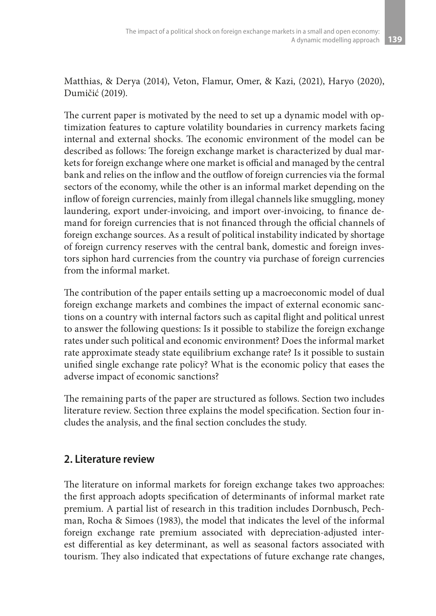Matthias, & Derya (2014), Veton, Flamur, Omer, & Kazi, (2021), Haryo (2020), Dumičić (2019).

The current paper is motivated by the need to set up a dynamic model with optimization features to capture volatility boundaries in currency markets facing internal and external shocks. The economic environment of the model can be described as follows: The foreign exchange market is characterized by dual markets for foreign exchange where one market is official and managed by the central bank and relies on the inflow and the outflow of foreign currencies via the formal sectors of the economy, while the other is an informal market depending on the inflow of foreign currencies, mainly from illegal channels like smuggling, money laundering, export under-invoicing, and import over-invoicing, to finance demand for foreign currencies that is not financed through the official channels of foreign exchange sources. As a result of political instability indicated by shortage of foreign currency reserves with the central bank, domestic and foreign investors siphon hard currencies from the country via purchase of foreign currencies from the informal market.

The contribution of the paper entails setting up a macroeconomic model of dual foreign exchange markets and combines the impact of external economic sanctions on a country with internal factors such as capital flight and political unrest to answer the following questions: Is it possible to stabilize the foreign exchange rates under such political and economic environment? Does the informal market rate approximate steady state equilibrium exchange rate? Is it possible to sustain unified single exchange rate policy? What is the economic policy that eases the adverse impact of economic sanctions?

The remaining parts of the paper are structured as follows. Section two includes literature review. Section three explains the model specification. Section four includes the analysis, and the final section concludes the study.

## **2. Literature review**

The literature on informal markets for foreign exchange takes two approaches: the first approach adopts specification of determinants of informal market rate premium. A partial list of research in this tradition includes Dornbusch, Pechman, Rocha & Simoes (1983), the model that indicates the level of the informal foreign exchange rate premium associated with depreciation-adjusted interest differential as key determinant, as well as seasonal factors associated with tourism. They also indicated that expectations of future exchange rate changes,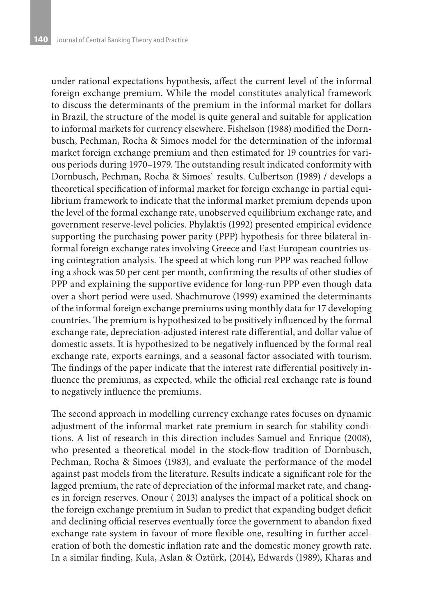under rational expectations hypothesis, affect the current level of the informal foreign exchange premium. While the model constitutes analytical framework to discuss the determinants of the premium in the informal market for dollars in Brazil, the structure of the model is quite general and suitable for application to informal markets for currency elsewhere. Fishelson (1988) modified the Dornbusch, Pechman, Rocha & Simoes model for the determination of the informal market foreign exchange premium and then estimated for 19 countries for various periods during 1970–1979. The outstanding result indicated conformity with Dornbusch, Pechman, Rocha & Simoes` results. Culbertson (1989) / develops a theoretical specification of informal market for foreign exchange in partial equilibrium framework to indicate that the informal market premium depends upon the level of the formal exchange rate, unobserved equilibrium exchange rate, and government reserve-level policies. Phylaktis (1992) presented empirical evidence supporting the purchasing power parity (PPP) hypothesis for three bilateral informal foreign exchange rates involving Greece and East European countries using cointegration analysis. The speed at which long-run PPP was reached following a shock was 50 per cent per month, confirming the results of other studies of PPP and explaining the supportive evidence for long-run PPP even though data over a short period were used. Shachmurove (1999) examined the determinants of the informal foreign exchange premiums using monthly data for 17 developing countries. The premium is hypothesized to be positively influenced by the formal exchange rate, depreciation-adjusted interest rate differential, and dollar value of domestic assets. It is hypothesized to be negatively influenced by the formal real exchange rate, exports earnings, and a seasonal factor associated with tourism. The findings of the paper indicate that the interest rate differential positively influence the premiums, as expected, while the official real exchange rate is found to negatively influence the premiums.

The second approach in modelling currency exchange rates focuses on dynamic adjustment of the informal market rate premium in search for stability conditions. A list of research in this direction includes Samuel and Enrique (2008), who presented a theoretical model in the stock-flow tradition of Dornbusch, Pechman, Rocha & Simoes (1983), and evaluate the performance of the model against past models from the literature. Results indicate a significant role for the lagged premium, the rate of depreciation of the informal market rate, and changes in foreign reserves. Onour ( 2013) analyses the impact of a political shock on the foreign exchange premium in Sudan to predict that expanding budget deficit and declining official reserves eventually force the government to abandon fixed exchange rate system in favour of more flexible one, resulting in further acceleration of both the domestic inflation rate and the domestic money growth rate. In a similar finding, Kula, Aslan & Öztürk, (2014), Edwards (1989), Kharas and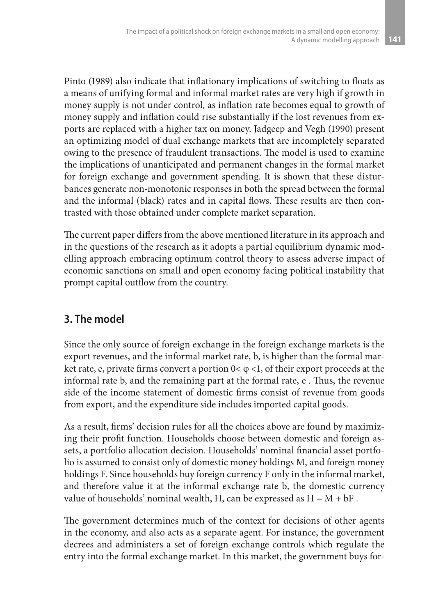Pinto (1989) also indicate that inflationary implications of switching to floats as a means of unifying formal and informal market rates are very high if growth in money supply is not under control, as inflation rate becomes equal to growth of money supply and inflation could rise substantially if the lost revenues from exports are replaced with a higher tax on money. Jadgeep and Vegh (1990) present an optimizing model of dual exchange markets that are incompletely separated owing to the presence of fraudulent transactions. The model is used to examine the implications of unanticipated and permanent changes in the formal market for foreign exchange and government spending. It is shown that these disturbances generate non-monotonic responses in both the spread between the formal and the informal (black) rates and in capital flows. These results are then contrasted with those obtained under complete market separation.

The current paper differs from the above mentioned literature in its approach and in the questions of the research as it adopts a partial equilibrium dynamic modelling approach embracing optimum control theory to assess adverse impact of economic sanctions on small and open economy facing political instability that prompt capital outflow from the country.

## **3. The model**

Since the only source of foreign exchange in the foreign exchange markets is the export revenues, and the informal market rate, b, is higher than the formal market rate, e, private firms convert a portion  $0<\varphi<1$ , of their export proceeds at the informal rate b, and the remaining part at the formal rate, e . Thus, the revenue side of the income statement of domestic firms consist of revenue from goods from export, and the expenditure side includes imported capital goods.

As a result, firms' decision rules for all the choices above are found by maximizing their profit function. Households choose between domestic and foreign assets, a portfolio allocation decision. Households' nominal financial asset portfolio is assumed to consist only of domestic money holdings M, and foreign money holdings F. Since households buy foreign currency F only in the informal market, and therefore value it at the informal exchange rate b, the domestic currency value of households' nominal wealth, H, can be expressed as  $\mathrm{H}=\mathrm{M}+\mathrm{bF}$  .

The government determines much of the context for decisions of other agents in the economy, and also acts as a separate agent. For instance, the government decrees and administers a set of foreign exchange controls which regulate the entry into the formal exchange market. In this market, the government buys for-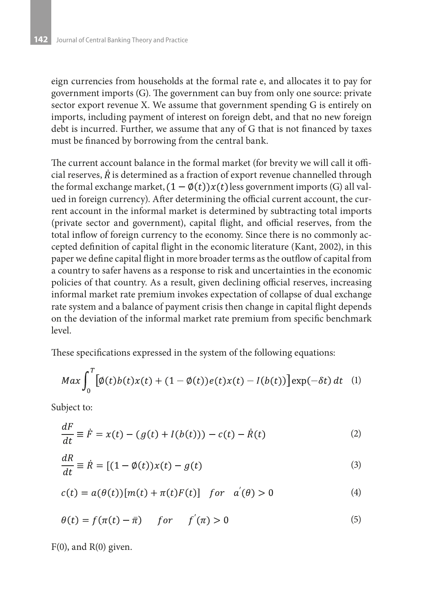eign currencies from households at the formal rate e, and allocates it to pay for government imports (G). The government can buy from only one source: private sector export revenue X. We assume that government spending G is entirely on imports, including payment of interest on foreign debt, and that no new foreign debt is incurred. Further, we assume that any of G that is not financed by taxes must be financed by borrowing from the central bank.

The current account balance in the formal market (for brevity we will call it official reserves,  $\hat{R}$  is determined as a fraction of export revenue channelled through the formal exchange market,  $(1 - \phi(t))x(t)$  less government imports (G) all valued in foreign currency). After determining the official current account, the current account in the informal market is determined by subtracting total imports (private sector and government), capital flight, and official reserves, from the total inflow of foreign currency to the economy. Since there is no commonly accepted definition of capital flight in the economic literature (Kant, 2002), in this paper we define capital flight in more broader terms as the outflow of capital from a country to safer havens as a response to risk and uncertainties in the economic policies of that country. As a result, given declining official reserves, increasing informal market rate premium invokes expectation of collapse of dual exchange rate system and a balance of payment crisis then change in capital flight depends on the deviation of the informal market rate premium from specific benchmark level.

These specifications expressed in the system of the following equations:

$$
Max \int_0^T \left[ \phi(t)b(t)x(t) + (1 - \phi(t))e(t)x(t) - I(b(t)) \right] \exp(-\delta t) dt \quad (1)
$$

Subject to:

$$
\frac{dF}{dt} \equiv \dot{F} = x(t) - (g(t) + I(b(t))) - c(t) - \dot{R}(t)
$$
\n(2)

$$
\frac{dR}{dt} \equiv \dot{R} = \left[ (1 - \phi(t))x(t) - g(t) \right] \tag{3}
$$

$$
c(t) = a(\theta(t)) [m(t) + \pi(t)F(t)] \quad \text{for} \quad a'(\theta) > 0 \tag{4}
$$

$$
\theta(t) = f(\pi(t) - \bar{\pi}) \quad for \quad f'(\pi) > 0 \tag{5}
$$

 $F(0)$ , and  $R(0)$  given.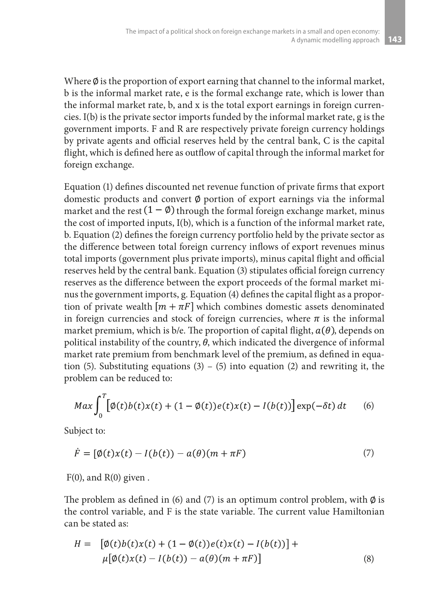Where  $\emptyset$  is the proportion of export earning that channel to the informal market, b is the informal market rate, e is the formal exchange rate, which is lower than the informal market rate, b, and x is the total export earnings in foreign currencies. I(b) is the private sector imports funded by the informal market rate, g is the government imports. F and R are respectively private foreign currency holdings by private agents and official reserves held by the central bank, C is the capital flight, which is defined here as outflow of capital through the informal market for foreign exchange.

Equation (1) defines discounted net revenue function of private firms that export domestic products and convert  $\emptyset$  portion of export earnings via the informal market and the rest  $(1 - \emptyset)$  through the formal foreign exchange market, minus the cost of imported inputs, I(b), which is a function of the informal market rate, b. Equation (2) defines the foreign currency portfolio held by the private sector as the difference between total foreign currency inflows of export revenues minus total imports (government plus private imports), minus capital flight and official reserves held by the central bank. Equation (3) stipulates official foreign currency reserves as the difference between the export proceeds of the formal market minus the government imports, g. Equation (4) defines the capital flight as a proportion of private wealth  $[m + \pi F]$  which combines domestic assets denominated in foreign currencies and stock of foreign currencies, where  $\pi$  is the informal market premium, which is b/e. The proportion of capital flight,  $a(\theta)$ , depends on political instability of the country,  $\theta$ , which indicated the divergence of informal market rate premium from benchmark level of the premium, as defined in equation (5). Substituting equations (3) – (5) into equation (2) and rewriting it, the problem can be reduced to:

$$
Max \int_0^T \left[ \phi(t)b(t)x(t) + (1 - \phi(t))e(t)x(t) - I(b(t)) \right] \exp(-\delta t) dt \qquad (6)
$$

Subject to:

$$
\dot{F} = [\phi(t)x(t) - I(b(t)) - a(\theta)(m + \pi F)] \tag{7}
$$

 $F(0)$ , and  $R(0)$  given.

The problem as defined in (6) and (7) is an optimum control problem, with  $\emptyset$  is the control variable, and F is the state variable. The current value Hamiltonian can be stated as:

$$
H = [\phi(t)b(t)x(t) + (1 - \phi(t))e(t)x(t) - I(b(t))] + \mu[\phi(t)x(t) - I(b(t)) - a(\theta)(m + \pi F)]
$$
\n(8)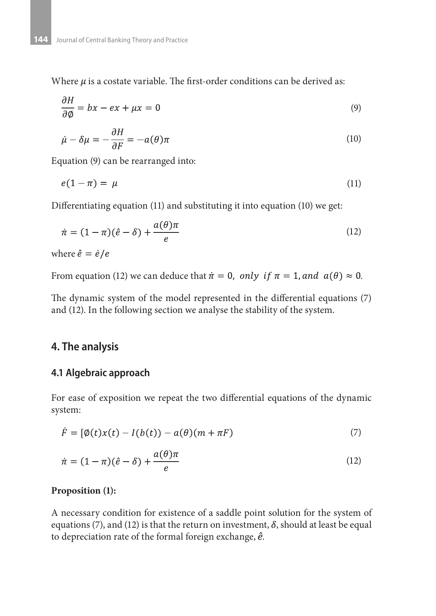Where  $\mu$  is a costate variable. The first-order conditions can be derived as:

$$
\frac{\partial H}{\partial \phi} = bx - ex + \mu x = 0 \tag{9}
$$

$$
\dot{\mu} - \delta \mu = -\frac{\partial H}{\partial F} = -a(\theta)\pi
$$
\n(10)

Equation (9) can be rearranged into:

$$
e(1 - \pi) = \mu \tag{11}
$$

Differentiating equation (11) and substituting it into equation (10) we get:

$$
\dot{\pi} = (1 - \pi)(\hat{e} - \delta) + \frac{a(\theta)\pi}{e}
$$
\n(12)

where  $\hat{e} = \dot{e}/e$ 

a.

From equation (12) we can deduce that  $\dot{\pi} = 0$ , only if  $\pi = 1$ , and  $a(\theta) \approx 0$ .

The dynamic system of the model represented in the differential equations (7) and (12). In the following section we analyse the stability of the system.

#### **4. The analysis**

#### **4.1 Algebraic approach**

For ease of exposition we repeat the two differential equations of the dynamic system:

$$
\dot{F} = [\phi(t)x(t) - I(b(t)) - a(\theta)(m + \pi F)] \tag{7}
$$

$$
\dot{\pi} = (1 - \pi)(\hat{e} - \delta) + \frac{a(\theta)\pi}{e}
$$
\n(12)

#### **Proposition (1):**

A necessary condition for existence of a saddle point solution for the system of equations (7), and (12) is that the return on investment,  $\delta$ , should at least be equal to depreciation rate of the formal foreign exchange,  $\hat{e}$ .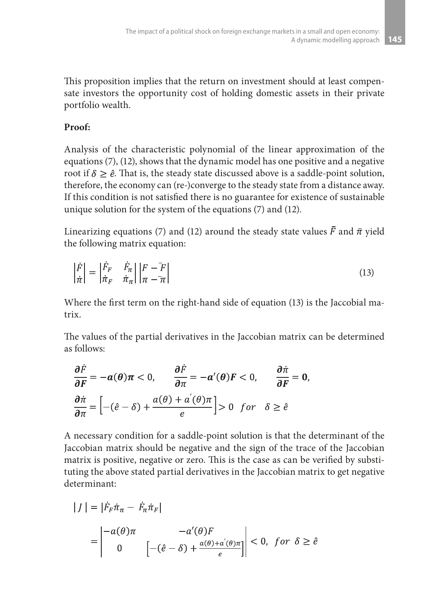This proposition implies that the return on investment should at least compensate investors the opportunity cost of holding domestic assets in their private portfolio wealth.

### **Proof:**

Analysis of the characteristic polynomial of the linear approximation of the equations (7), (12), shows that the dynamic model has one positive and a negative root if  $\delta \geq \hat{e}$ . That is, the steady state discussed above is a saddle-point solution, therefore, the economy can (re-)converge to the steady state from a distance away. If this condition is not satisfied there is no guarantee for existence of sustainable unique solution for the system of the equations (7) and (12).

Linearizing equations (7) and (12) around the steady state values  $\bar{F}$  and  $\bar{\pi}$  yield the following matrix equation:

$$
\left|\frac{\dot{F}}{\dot{\pi}}\right| = \left|\frac{\dot{F}_F}{\dot{\pi}_F} \quad \frac{\dot{F}_\pi}{\dot{\pi}_\pi}\right| \left|\frac{F - \overline{F}}{\pi - \overline{\pi}}\right| \tag{13}
$$

Where the first term on the right-hand side of equation (13) is the Jaccobial matrix.

The values of the partial derivatives in the Jaccobian matrix can be determined as follows:

$$
\frac{\partial \dot{F}}{\partial F} = -a(\theta)\pi < 0, \qquad \frac{\partial \dot{F}}{\partial \pi} = -a'(\theta)F < 0, \qquad \frac{\partial \dot{\pi}}{\partial F} = 0,
$$
\n
$$
\frac{\partial \dot{\pi}}{\partial \pi} = \left[ -(\hat{e} - \delta) + \frac{a(\theta) + a'(\theta)\pi}{e} \right] > 0 \quad \text{for} \quad \delta \ge \hat{e}
$$

A necessary condition for a saddle-point solution is that the determinant of the Jaccobian matrix should be negative and the sign of the trace of the Jaccobian matrix is positive, negative or zero. This is the case as can be verified by substituting the above stated partial derivatives in the Jaccobian matrix to get negative determinant:

$$
|J| = |\dot{F}_F \dot{\pi}_\pi - \dot{F}_\pi \dot{\pi}_F|
$$
  
= 
$$
\begin{vmatrix} -a(\theta)\pi & -a'(\theta)F \\ 0 & [-(\hat{e}-\delta) + \frac{a(\theta)+a'(\theta)\pi}{e}] \end{vmatrix} < 0, \text{ for } \delta \ge \hat{e}
$$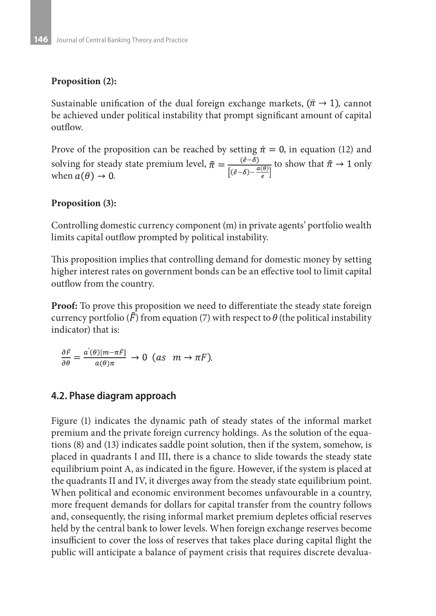#### **Proposition (2):**

Sustainable unification of the dual foreign exchange markets,  $(\bar{\pi} \rightarrow 1)$ , cannot be achieved under political instability that prompt significant amount of capital outflow.

Prove of the proposition can be reached by setting  $\dot{\pi} = 0$ , in equation (12) and solving for steady state premium level,  $\bar{\pi} = \frac{(\hat{e} - \tilde{\delta})}{[(\hat{e} - \delta) - \frac{a(\theta)}{2}]}$  to show that  $\bar{\pi} \to 1$  only when  $a(\theta) \to 0$ when  $a(\theta) \rightarrow 0$ .

#### **Proposition (3):**

Controlling domestic currency component (m) in private agents' portfolio wealth limits capital outflow prompted by political instability.

This proposition implies that controlling demand for domestic money by setting higher interest rates on government bonds can be an effective tool to limit capital outflow from the country.

**Proof:** To prove this proposition we need to differentiate the steady state foreign currency portfolio (*F*) from equation (7) with respect to  $\theta$  (the political instability indicator) that is:

$$
\frac{\partial \bar{F}}{\partial \theta} = \frac{a'(\theta)[m - \pi \bar{F}]}{a(\theta)\pi} \to 0 \text{ (as } m \to \pi F).
$$

#### **4.2. Phase diagram approach**

Figure (1) indicates the dynamic path of steady states of the informal market premium and the private foreign currency holdings. As the solution of the equations (8) and (13) indicates saddle point solution, then if the system, somehow, is placed in quadrants I and III, there is a chance to slide towards the steady state equilibrium point A, as indicated in the figure. However, if the system is placed at the quadrants II and IV, it diverges away from the steady state equilibrium point. When political and economic environment becomes unfavourable in a country, more frequent demands for dollars for capital transfer from the country follows and, consequently, the rising informal market premium depletes official reserves held by the central bank to lower levels. When foreign exchange reserves become insufficient to cover the loss of reserves that takes place during capital flight the public will anticipate a balance of payment crisis that requires discrete devalua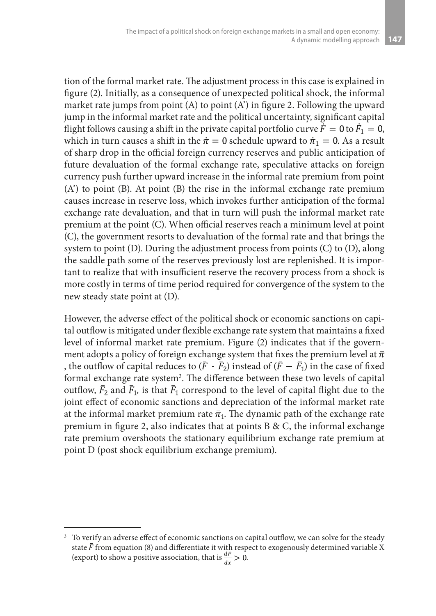tion of the formal market rate. The adjustment process in this case is explained in figure (2). Initially, as a consequence of unexpected political shock, the informal market rate jumps from point (A) to point (A') in figure 2. Following the upward jump in the informal market rate and the political uncertainty, significant capital flight follows causing a shift in the private capital portfolio curve  $\dot{F} = 0$  to  $\dot{F}_1 = 0$ , which in turn causes a shift in the  $\dot{\pi} = 0$  schedule upward to  $\dot{\pi}_1 = 0$ . As a result of sharp drop in the official foreign currency reserves and public anticipation of future devaluation of the formal exchange rate, speculative attacks on foreign currency push further upward increase in the informal rate premium from point (A') to point (B). At point (B) the rise in the informal exchange rate premium causes increase in reserve loss, which invokes further anticipation of the formal exchange rate devaluation, and that in turn will push the informal market rate premium at the point (C). When official reserves reach a minimum level at point (C), the government resorts to devaluation of the formal rate and that brings the system to point (D). During the adjustment process from points (C) to (D), along the saddle path some of the reserves previously lost are replenished. It is important to realize that with insufficient reserve the recovery process from a shock is more costly in terms of time period required for convergence of the system to the new steady state point at (D).

However, the adverse effect of the political shock or economic sanctions on capital outflow is mitigated under flexible exchange rate system that maintains a fixed level of informal market rate premium. Figure (2) indicates that if the government adopts a policy of foreign exchange system that fixes the premium level at  $\bar{\pi}$ , the outflow of capital reduces to  $(\bar{F} - \bar{F}_2)$  instead of  $(\bar{F} - \bar{F}_1)$  in the case of fixed formal exchange rate system<sup>3</sup>. The difference between these two levels of capital outflow,  $\bar{F}_2$  and  $\bar{F}_1$ , is that  $\bar{F}_1$  correspond to the level of capital flight due to the joint effect of economic sanctions and depreciation of the informal market rate at the informal market premium rate  $\bar{\pi}_1$ . The dynamic path of the exchange rate premium in figure 2, also indicates that at points B & C, the informal exchange rate premium overshoots the stationary equilibrium exchange rate premium at point D (post shock equilibrium exchange premium).

<sup>&</sup>lt;sup>3</sup> To verify an adverse effect of economic sanctions on capital outflow, we can solve for the steady state  $F$  from equation (8) and differentiate it with respect to exogenously determined variable X (export) to show a positive association, that is  $\frac{dr}{dt} > 0$ .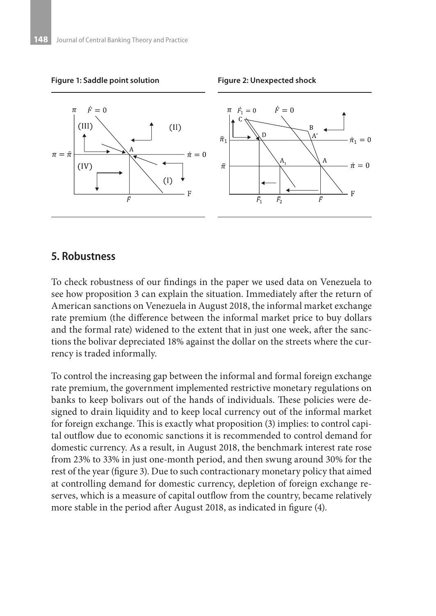

#### **5. Robustness**

To check robustness of our findings in the paper we used data on Venezuela to see how proposition 3 can explain the situation. Immediately after the return of American sanctions on Venezuela in August 2018, the informal market exchange rate premium (the difference between the informal market price to buy dollars and the formal rate) widened to the extent that in just one week, after the sanctions the bolivar depreciated 18% against the dollar on the streets where the currency is traded informally.

To control the increasing gap between the informal and formal foreign exchange rate premium, the government implemented restrictive monetary regulations on banks to keep bolivars out of the hands of individuals. These policies were designed to drain liquidity and to keep local currency out of the informal market for foreign exchange. This is exactly what proposition (3) implies: to control capital outflow due to economic sanctions it is recommended to control demand for domestic currency. As a result, in August 2018, the benchmark interest rate rose from 23% to 33% in just one-month period, and then swung around 30% for the rest of the year (figure 3). Due to such contractionary monetary policy that aimed at controlling demand for domestic currency, depletion of foreign exchange reserves, which is a measure of capital outflow from the country, became relatively more stable in the period after August 2018, as indicated in figure (4).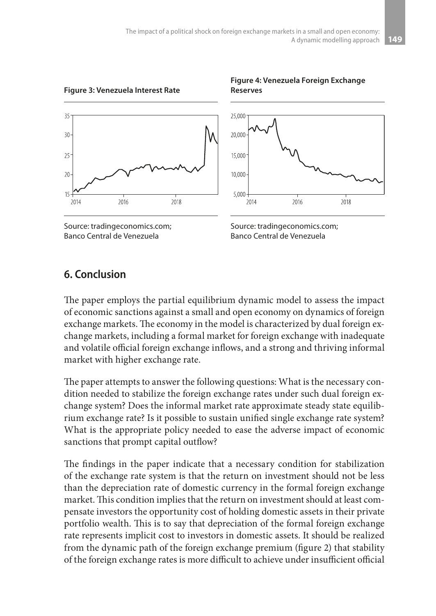**Reserves**



**Figure 3: Venezuela Interest Rate**





**Figure 4: Venezuela Foreign Exchange** 

## **6. Conclusion**

The paper employs the partial equilibrium dynamic model to assess the impact of economic sanctions against a small and open economy on dynamics of foreign exchange markets. The economy in the model is characterized by dual foreign exchange markets, including a formal market for foreign exchange with inadequate and volatile official foreign exchange inflows, and a strong and thriving informal market with higher exchange rate.

The paper attempts to answer the following questions: What is the necessary condition needed to stabilize the foreign exchange rates under such dual foreign exchange system? Does the informal market rate approximate steady state equilibrium exchange rate? Is it possible to sustain unified single exchange rate system? What is the appropriate policy needed to ease the adverse impact of economic sanctions that prompt capital outflow?

The findings in the paper indicate that a necessary condition for stabilization of the exchange rate system is that the return on investment should not be less than the depreciation rate of domestic currency in the formal foreign exchange market. This condition implies that the return on investment should at least compensate investors the opportunity cost of holding domestic assets in their private portfolio wealth. This is to say that depreciation of the formal foreign exchange rate represents implicit cost to investors in domestic assets. It should be realized from the dynamic path of the foreign exchange premium (figure 2) that stability of the foreign exchange rates is more difficult to achieve under insufficient official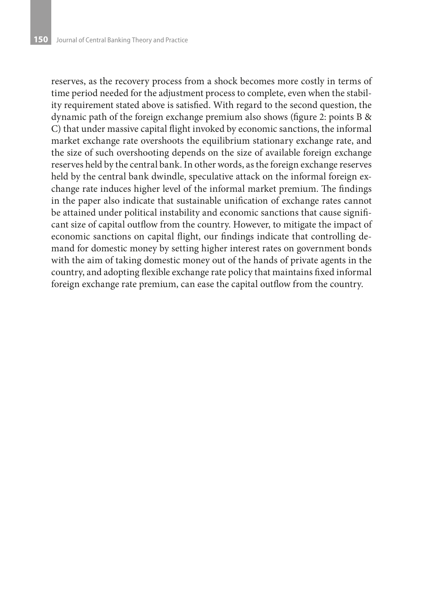reserves, as the recovery process from a shock becomes more costly in terms of time period needed for the adjustment process to complete, even when the stability requirement stated above is satisfied. With regard to the second question, the dynamic path of the foreign exchange premium also shows (figure 2: points B & C) that under massive capital flight invoked by economic sanctions, the informal market exchange rate overshoots the equilibrium stationary exchange rate, and the size of such overshooting depends on the size of available foreign exchange reserves held by the central bank. In other words, as the foreign exchange reserves held by the central bank dwindle, speculative attack on the informal foreign exchange rate induces higher level of the informal market premium. The findings in the paper also indicate that sustainable unification of exchange rates cannot be attained under political instability and economic sanctions that cause significant size of capital outflow from the country. However, to mitigate the impact of economic sanctions on capital flight, our findings indicate that controlling demand for domestic money by setting higher interest rates on government bonds with the aim of taking domestic money out of the hands of private agents in the country, and adopting flexible exchange rate policy that maintains fixed informal foreign exchange rate premium, can ease the capital outflow from the country.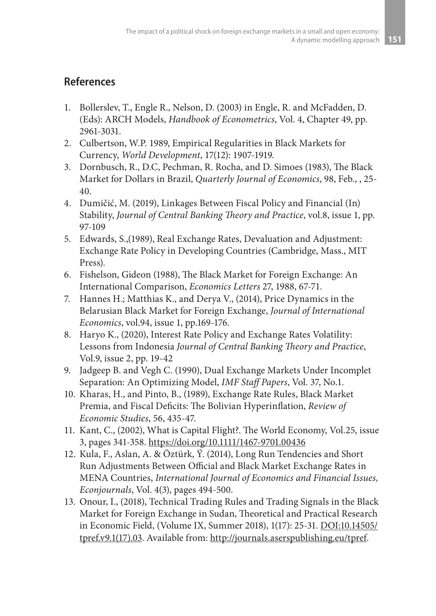## **References**

- 1. Bollerslev, T., Engle R., Nelson, D. (2003) in Engle, R. and McFadden, D. (Eds): ARCH Models, *Handbook of Econometrics*, Vol. 4, Chapter 49, pp. 2961-3031.
- 2. Culbertson, W.P. 1989, Empirical Regularities in Black Markets for Currency, *World Development*, 17(12): 1907-1919.
- 3. Dornbusch, R., D.C, Pechman, R. Rocha, and D. Simoes (1983), The Black Market for Dollars in Brazil, *Quarterly Journal of Economics*, 98, Feb., , 25- 40.
- 4. Dumičić, M. (2019), Linkages Between Fiscal Policy and Financial (In) Stability, *Journal of Central Banking Theory and Practice*, vol.8, issue 1, pp. 97-109
- 5. Edwards, S.,(1989), Real Exchange Rates, Devaluation and Adjustment: Exchange Rate Policy in Developing Countries (Cambridge, Mass., MIT Press).
- 6. Fishelson, Gideon (1988), The Black Market for Foreign Exchange: An International Comparison, *Economics Letters* 27, 1988, 67-71.
- 7. Hannes H.; Matthias K., and Derya V., (2014), Price Dynamics in the Belarusian Black Market for Foreign Exchange, *Journal of International Economics*, vol.94, issue 1, pp.169-176.
- 8. Haryo K., (2020), Interest Rate Policy and Exchange Rates Volatility: Lessons from Indonesia *Journal of Central Banking Theory and Practice*, Vol.9, issue 2, pp. 19-42
- 9. Jadgeep B. and Vegh C. (1990), Dual Exchange Markets Under Incomplet Separation: An Optimizing Model, *IMF Staff Papers*, Vol. 37, No.1.
- 10. Kharas, H., and Pinto, B., (1989), Exchange Rate Rules, Black Market Premia, and Fiscal Deficits: The Bolivian Hyperinflation, *Review of Economic Studies*, 56, 435-47.
- 11. Kant, C., (2002), What is Capital Flight?. The World Economy, Vol.25, issue 3, pages 341-358. https://doi.org/10.1111/1467-9701.00436
- 12. Kula, F., Aslan, A. & Öztürk, Ý. (2014), Long Run Tendencies and Short Run Adjustments Between Official and Black Market Exchange Rates in MENA Countries, *International Journal of Economics and Financial Issues, Econjournals*, Vol. 4(3), pages 494-500.
- 13. Onour, I., (2018), Technical Trading Rules and Trading Signals in the Black Market for Foreign Exchange in Sudan, Theoretical and Practical Research in Economic Field, (Volume IX, Summer 2018), 1(17): 25-31. DOI:10.14505/ tpref.v9.1(17).03. Available from: http://journals.aserspublishing.eu/tpref.